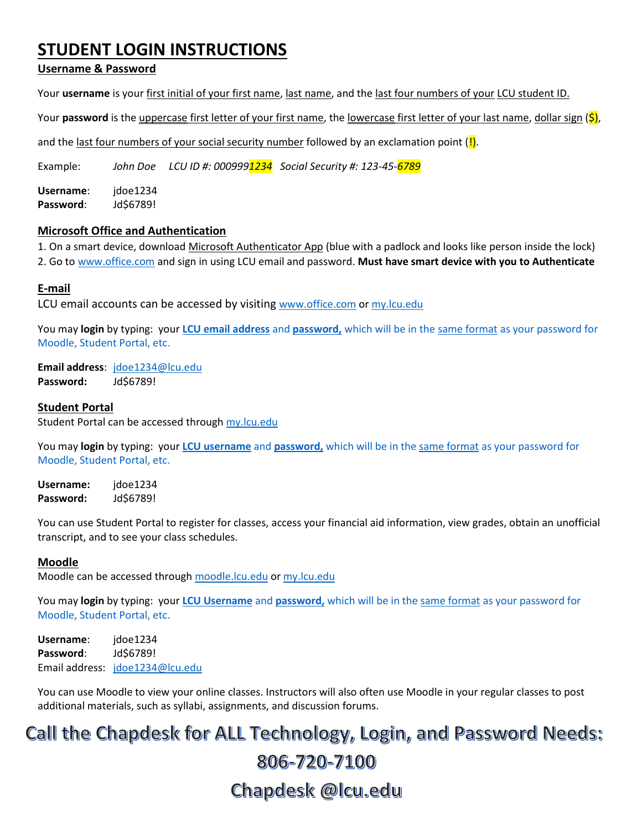## **STUDENT LOGIN INSTRUCTIONS**

### **Username & Password**

Your **username** is your first initial of your first name, last name, and the last four numbers of your LCU student ID.

Your **password** is the uppercase first letter of your first name, the lowercase first letter of your last name, dollar sign ( $\zeta$ ),

and the last four numbers of your social security number followed by an exclamation point  $(\cdot)$ .

Example: *John Doe LCU ID #: 0009991234 Social Security #: 123-45-6789*

**Username**: jdoe1234 **Password**: Jd\$6789!

#### **Microsoft Office and Authentication**

1. On a smart device, download Microsoft Authenticator App (blue with a padlock and looks like person inside the lock) 2. Go to [www.office.com](http://www.office.com/) and sign in using LCU email and password. **Must have smart device with you to Authenticate**

#### **E-mail**

LCU email accounts can be accessed by visiting [www.office.com](http://www.office.com/) or my.lcu.edu

You may **login** by typing: your **LCU email address** and **password,** which will be in the same format as your password for Moodle, Student Portal, etc.

**Email address**: [jdoe1234@lcu.edu](mailto:jdoe1234@lcu.edu) **Password:** Jd\$6789!

#### **Student Portal**

Student Portal can be accessed throug[h my.lcu.edu](http://www.my.lcu.edu/) 

You may **login** by typing: your **LCU username** and **password,** which will be in the same format as your password for Moodle, Student Portal, etc.

**Username:** jdoe1234 **Password:** Jd\$6789!

You can use Student Portal to register for classes, access your financial aid information, view grades, obtain an unofficial transcript, and to see your class schedules.

#### **Moodle**

Moodle can be accessed through [moodle.lcu.edu](http://moodle.lcu.edu/) or [my.lcu.edu](http://www.my.lcu.edu/)

You may **login** by typing: your **LCU Username** and **password,** which will be in the same format as your password for Moodle, Student Portal, etc.

**Username**: jdoe1234 **Password**: Jd\$6789! Email address: [jdoe1234@lcu.edu](mailto:jdoe1234@lcu.edu)

You can use Moodle to view your online classes. Instructors will also often use Moodle in your regular classes to post additional materials, such as syllabi, assignments, and discussion forums.

# Call the Chapdesk for ALL Technology, Login, and Password Needs: 806-720-7100 Chapdesk @lcu.edu